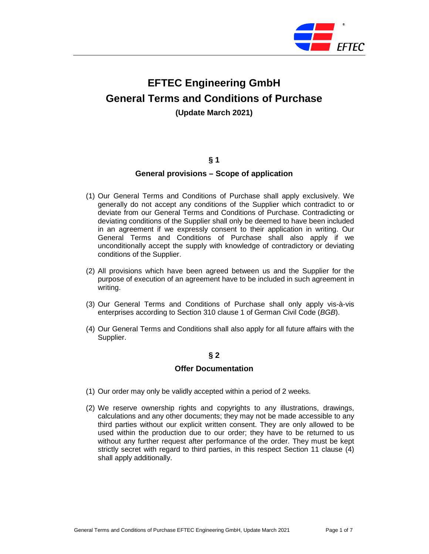

# **EFTEC Engineering GmbH General Terms and Conditions of Purchase (Update March 2021)**

# **§ 1**

#### **General provisions – Scope of application**

- (1) Our General Terms and Conditions of Purchase shall apply exclusively. We generally do not accept any conditions of the Supplier which contradict to or deviate from our General Terms and Conditions of Purchase. Contradicting or deviating conditions of the Supplier shall only be deemed to have been included in an agreement if we expressly consent to their application in writing. Our General Terms and Conditions of Purchase shall also apply if we unconditionally accept the supply with knowledge of contradictory or deviating conditions of the Supplier.
- (2) All provisions which have been agreed between us and the Supplier for the purpose of execution of an agreement have to be included in such agreement in writing.
- (3) Our General Terms and Conditions of Purchase shall only apply vis-à-vis enterprises according to Section 310 clause 1 of German Civil Code (BGB).
- (4) Our General Terms and Conditions shall also apply for all future affairs with the Supplier.

# **§ 2**

#### **Offer Documentation**

- (1) Our order may only be validly accepted within a period of 2 weeks.
- (2) We reserve ownership rights and copyrights to any illustrations, drawings, calculations and any other documents; they may not be made accessible to any third parties without our explicit written consent. They are only allowed to be used within the production due to our order; they have to be returned to us without any further request after performance of the order. They must be kept strictly secret with regard to third parties, in this respect Section 11 clause (4) shall apply additionally.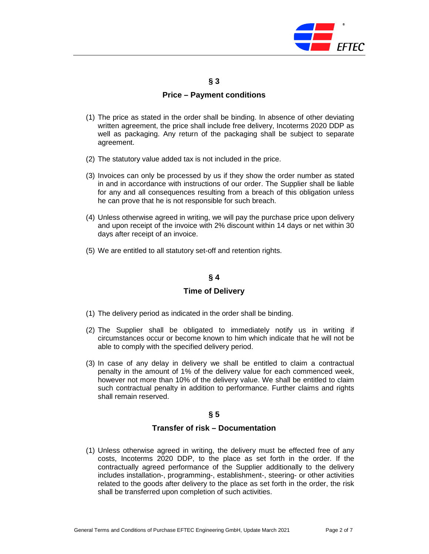

## **§ 3**

# **Price – Payment conditions**

- (1) The price as stated in the order shall be binding. In absence of other deviating written agreement, the price shall include free delivery, Incoterms 2020 DDP as well as packaging. Any return of the packaging shall be subject to separate agreement.
- (2) The statutory value added tax is not included in the price.
- (3) Invoices can only be processed by us if they show the order number as stated in and in accordance with instructions of our order. The Supplier shall be liable for any and all consequences resulting from a breach of this obligation unless he can prove that he is not responsible for such breach.
- (4) Unless otherwise agreed in writing, we will pay the purchase price upon delivery and upon receipt of the invoice with 2% discount within 14 days or net within 30 days after receipt of an invoice.
- (5) We are entitled to all statutory set-off and retention rights.

# **§ 4**

# **Time of Delivery**

- (1) The delivery period as indicated in the order shall be binding.
- (2) The Supplier shall be obligated to immediately notify us in writing if circumstances occur or become known to him which indicate that he will not be able to comply with the specified delivery period.
- (3) In case of any delay in delivery we shall be entitled to claim a contractual penalty in the amount of 1% of the delivery value for each commenced week, however not more than 10% of the delivery value. We shall be entitled to claim such contractual penalty in addition to performance. Further claims and rights shall remain reserved.

# **§ 5**

#### **Transfer of risk – Documentation**

(1) Unless otherwise agreed in writing, the delivery must be effected free of any costs, Incoterms 2020 DDP, to the place as set forth in the order. If the contractually agreed performance of the Supplier additionally to the delivery includes installation-, programming-, establishment-, steering- or other activities related to the goods after delivery to the place as set forth in the order, the risk shall be transferred upon completion of such activities.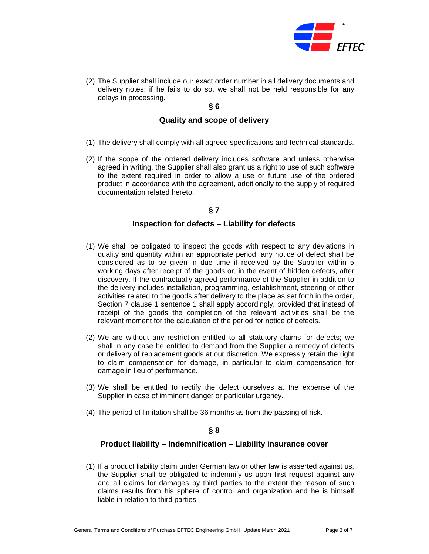

(2) The Supplier shall include our exact order number in all delivery documents and delivery notes; if he fails to do so, we shall not be held responsible for any delays in processing.

## **§ 6**

# **Quality and scope of delivery**

- (1) The delivery shall comply with all agreed specifications and technical standards.
- (2) If the scope of the ordered delivery includes software and unless otherwise agreed in writing, the Supplier shall also grant us a right to use of such software to the extent required in order to allow a use or future use of the ordered product in accordance with the agreement, additionally to the supply of required documentation related hereto.

# **§ 7**

# **Inspection for defects – Liability for defects**

- (1) We shall be obligated to inspect the goods with respect to any deviations in quality and quantity within an appropriate period; any notice of defect shall be considered as to be given in due time if received by the Supplier within 5 working days after receipt of the goods or, in the event of hidden defects, after discovery. If the contractually agreed performance of the Supplier in addition to the delivery includes installation, programming, establishment, steering or other activities related to the goods after delivery to the place as set forth in the order, Section 7 clause 1 sentence 1 shall apply accordingly, provided that instead of receipt of the goods the completion of the relevant activities shall be the relevant moment for the calculation of the period for notice of defects.
- (2) We are without any restriction entitled to all statutory claims for defects; we shall in any case be entitled to demand from the Supplier a remedy of defects or delivery of replacement goods at our discretion. We expressly retain the right to claim compensation for damage, in particular to claim compensation for damage in lieu of performance.
- (3) We shall be entitled to rectify the defect ourselves at the expense of the Supplier in case of imminent danger or particular urgency.
- (4) The period of limitation shall be 36 months as from the passing of risk.

#### **§ 8**

#### **Product liability – Indemnification – Liability insurance cover**

(1) If a product liability claim under German law or other law is asserted against us, the Supplier shall be obligated to indemnify us upon first request against any and all claims for damages by third parties to the extent the reason of such claims results from his sphere of control and organization and he is himself liable in relation to third parties.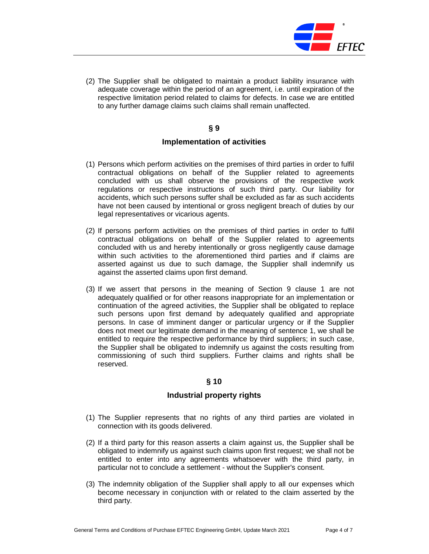

(2) The Supplier shall be obligated to maintain a product liability insurance with adequate coverage within the period of an agreement, i.e. until expiration of the respective limitation period related to claims for defects. In case we are entitled to any further damage claims such claims shall remain unaffected.

# **§ 9**

# **Implementation of activities**

- (1) Persons which perform activities on the premises of third parties in order to fulfil contractual obligations on behalf of the Supplier related to agreements concluded with us shall observe the provisions of the respective work regulations or respective instructions of such third party. Our liability for accidents, which such persons suffer shall be excluded as far as such accidents have not been caused by intentional or gross negligent breach of duties by our legal representatives or vicarious agents.
- (2) If persons perform activities on the premises of third parties in order to fulfil contractual obligations on behalf of the Supplier related to agreements concluded with us and hereby intentionally or gross negligently cause damage within such activities to the aforementioned third parties and if claims are asserted against us due to such damage, the Supplier shall indemnify us against the asserted claims upon first demand.
- (3) If we assert that persons in the meaning of Section 9 clause 1 are not adequately qualified or for other reasons inappropriate for an implementation or continuation of the agreed activities, the Supplier shall be obligated to replace such persons upon first demand by adequately qualified and appropriate persons. In case of imminent danger or particular urgency or if the Supplier does not meet our legitimate demand in the meaning of sentence 1, we shall be entitled to require the respective performance by third suppliers; in such case, the Supplier shall be obligated to indemnify us against the costs resulting from commissioning of such third suppliers. Further claims and rights shall be reserved.

# **§ 10**

# **Industrial property rights**

- (1) The Supplier represents that no rights of any third parties are violated in connection with its goods delivered.
- (2) If a third party for this reason asserts a claim against us, the Supplier shall be obligated to indemnify us against such claims upon first request; we shall not be entitled to enter into any agreements whatsoever with the third party, in particular not to conclude a settlement - without the Supplier's consent.
- (3) The indemnity obligation of the Supplier shall apply to all our expenses which become necessary in conjunction with or related to the claim asserted by the third party.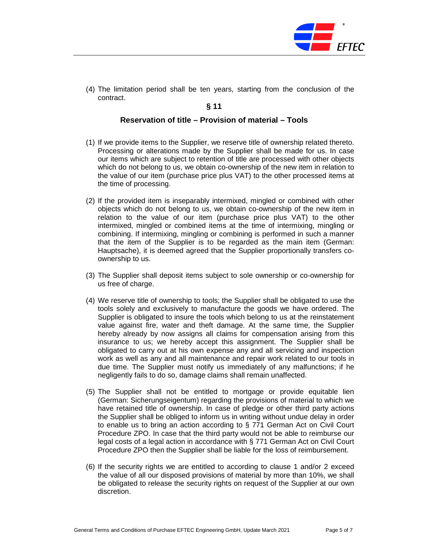

(4) The limitation period shall be ten years, starting from the conclusion of the contract.

**§ 11** 

# **Reservation of title – Provision of material – Tools**

- (1) If we provide items to the Supplier, we reserve title of ownership related thereto. Processing or alterations made by the Supplier shall be made for us. In case our items which are subject to retention of title are processed with other objects which do not belong to us, we obtain co-ownership of the new item in relation to the value of our item (purchase price plus VAT) to the other processed items at the time of processing.
- (2) If the provided item is inseparably intermixed, mingled or combined with other objects which do not belong to us, we obtain co-ownership of the new item in relation to the value of our item (purchase price plus VAT) to the other intermixed, mingled or combined items at the time of intermixing, mingling or combining. If intermixing, mingling or combining is performed in such a manner that the item of the Supplier is to be regarded as the main item (German: Hauptsache), it is deemed agreed that the Supplier proportionally transfers coownership to us.
- (3) The Supplier shall deposit items subject to sole ownership or co-ownership for us free of charge.
- (4) We reserve title of ownership to tools; the Supplier shall be obligated to use the tools solely and exclusively to manufacture the goods we have ordered. The Supplier is obligated to insure the tools which belong to us at the reinstatement value against fire, water and theft damage. At the same time, the Supplier hereby already by now assigns all claims for compensation arising from this insurance to us; we hereby accept this assignment. The Supplier shall be obligated to carry out at his own expense any and all servicing and inspection work as well as any and all maintenance and repair work related to our tools in due time. The Supplier must notify us immediately of any malfunctions; if he negligently fails to do so, damage claims shall remain unaffected.
- (5) The Supplier shall not be entitled to mortgage or provide equitable lien (German: Sicherungseigentum) regarding the provisions of material to which we have retained title of ownership. In case of pledge or other third party actions the Supplier shall be obliged to inform us in writing without undue delay in order to enable us to bring an action according to § 771 German Act on Civil Court Procedure ZPO. In case that the third party would not be able to reimburse our legal costs of a legal action in accordance with § 771 German Act on Civil Court Procedure ZPO then the Supplier shall be liable for the loss of reimbursement.
- (6) If the security rights we are entitled to according to clause 1 and/or 2 exceed the value of all our disposed provisions of material by more than 10%, we shall be obligated to release the security rights on request of the Supplier at our own discretion.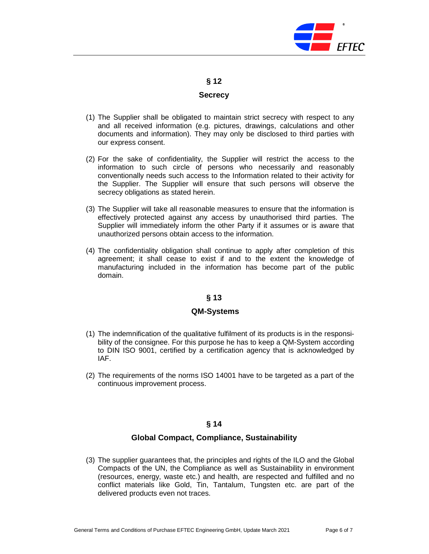

**§ 12** 

#### **Secrecy**

- (1) The Supplier shall be obligated to maintain strict secrecy with respect to any and all received information (e.g. pictures, drawings, calculations and other documents and information). They may only be disclosed to third parties with our express consent.
- (2) For the sake of confidentiality, the Supplier will restrict the access to the information to such circle of persons who necessarily and reasonably conventionally needs such access to the Information related to their activity for the Supplier. The Supplier will ensure that such persons will observe the secrecy obligations as stated herein.
- (3) The Supplier will take all reasonable measures to ensure that the information is effectively protected against any access by unauthorised third parties. The Supplier will immediately inform the other Party if it assumes or is aware that unauthorized persons obtain access to the information.
- (4) The confidentiality obligation shall continue to apply after completion of this agreement; it shall cease to exist if and to the extent the knowledge of manufacturing included in the information has become part of the public domain.

# **§ 13**

# **QM-Systems**

- (1) The indemnification of the qualitative fulfilment of its products is in the responsibility of the consignee. For this purpose he has to keep a QM-System according to DIN ISO 9001, certified by a certification agency that is acknowledged by IAF.
- (2) The requirements of the norms ISO 14001 have to be targeted as a part of the continuous improvement process.

# **§ 14**

# **Global Compact, Compliance, Sustainability**

(3) The supplier guarantees that, the principles and rights of the ILO and the Global Compacts of the UN, the Compliance as well as Sustainability in environment (resources, energy, waste etc.) and health, are respected and fulfilled and no conflict materials like Gold, Tin, Tantalum, Tungsten etc. are part of the delivered products even not traces.